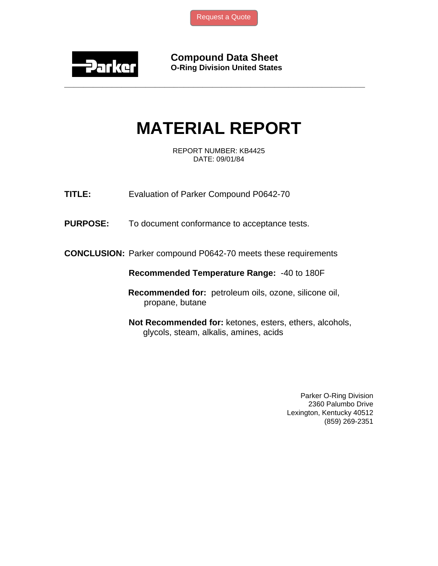

**Compound Data Sheet O-Ring Division United States** 

## **MATERIAL REPORT**

**\_\_\_\_\_\_\_\_\_\_\_\_\_\_\_\_\_\_\_\_\_\_\_\_\_\_\_\_\_\_\_\_\_\_\_\_\_\_\_\_\_\_\_\_\_\_\_\_\_\_\_\_\_\_\_\_\_\_\_\_\_\_\_** 

REPORT NUMBER: KB4425 DATE: 09/01/84

**TITLE:** Evaluation of Parker Compound P0642-70

**PURPOSE:** To document conformance to acceptance tests.

**CONCLUSION:** Parker compound P0642-70 meets these requirements

**Recommended Temperature Range:** -40 to 180F

 **Recommended for:** petroleum oils, ozone, silicone oil, propane, butane

**Not Recommended for:** ketones, esters, ethers, alcohols, glycols, steam, alkalis, amines, acids

> Parker O-Ring Division 2360 Palumbo Drive Lexington, Kentucky 40512 (859) 269-2351